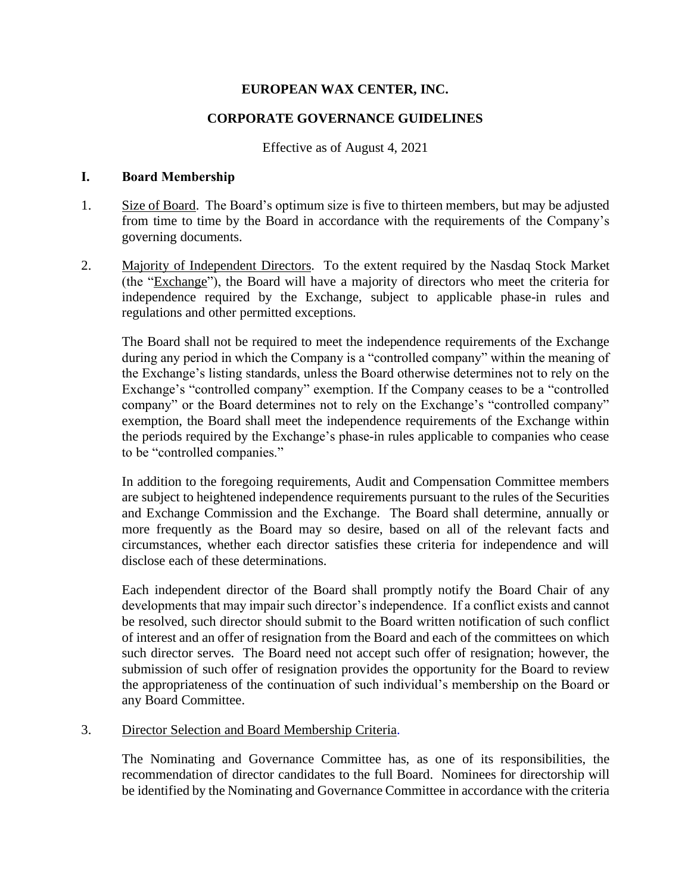# **EUROPEAN WAX CENTER, INC.**

### **CORPORATE GOVERNANCE GUIDELINES**

#### Effective as of August 4, 2021

#### **I. Board Membership**

- 1. Size of Board. The Board's optimum size is five to thirteen members, but may be adjusted from time to time by the Board in accordance with the requirements of the Company's governing documents.
- 2. Majority of Independent Directors. To the extent required by the Nasdaq Stock Market (the "Exchange"), the Board will have a majority of directors who meet the criteria for independence required by the Exchange, subject to applicable phase-in rules and regulations and other permitted exceptions.

The Board shall not be required to meet the independence requirements of the Exchange during any period in which the Company is a "controlled company" within the meaning of the Exchange's listing standards, unless the Board otherwise determines not to rely on the Exchange's "controlled company" exemption. If the Company ceases to be a "controlled company" or the Board determines not to rely on the Exchange's "controlled company" exemption, the Board shall meet the independence requirements of the Exchange within the periods required by the Exchange's phase-in rules applicable to companies who cease to be "controlled companies."

In addition to the foregoing requirements, Audit and Compensation Committee members are subject to heightened independence requirements pursuant to the rules of the Securities and Exchange Commission and the Exchange. The Board shall determine, annually or more frequently as the Board may so desire, based on all of the relevant facts and circumstances, whether each director satisfies these criteria for independence and will disclose each of these determinations.

Each independent director of the Board shall promptly notify the Board Chair of any developments that may impair such director's independence. If a conflict exists and cannot be resolved, such director should submit to the Board written notification of such conflict of interest and an offer of resignation from the Board and each of the committees on which such director serves. The Board need not accept such offer of resignation; however, the submission of such offer of resignation provides the opportunity for the Board to review the appropriateness of the continuation of such individual's membership on the Board or any Board Committee.

### 3. Director Selection and Board Membership Criteria.

The Nominating and Governance Committee has, as one of its responsibilities, the recommendation of director candidates to the full Board. Nominees for directorship will be identified by the Nominating and Governance Committee in accordance with the criteria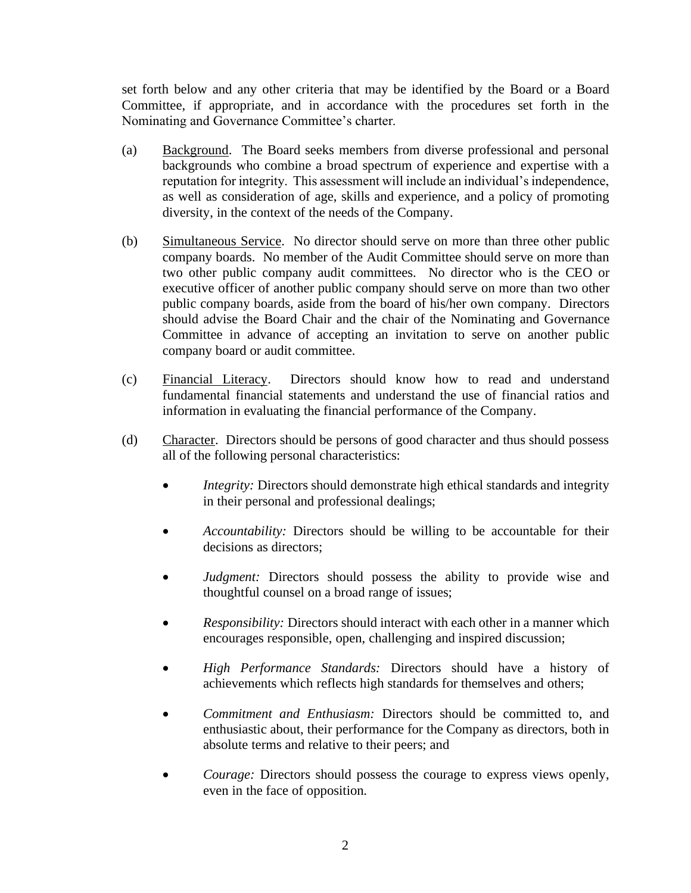set forth below and any other criteria that may be identified by the Board or a Board Committee, if appropriate, and in accordance with the procedures set forth in the Nominating and Governance Committee's charter.

- (a) Background. The Board seeks members from diverse professional and personal backgrounds who combine a broad spectrum of experience and expertise with a reputation for integrity. This assessment will include an individual's independence, as well as consideration of age, skills and experience, and a policy of promoting diversity, in the context of the needs of the Company.
- (b) Simultaneous Service. No director should serve on more than three other public company boards. No member of the Audit Committee should serve on more than two other public company audit committees. No director who is the CEO or executive officer of another public company should serve on more than two other public company boards, aside from the board of his/her own company. Directors should advise the Board Chair and the chair of the Nominating and Governance Committee in advance of accepting an invitation to serve on another public company board or audit committee.
- (c) Financial Literacy. Directors should know how to read and understand fundamental financial statements and understand the use of financial ratios and information in evaluating the financial performance of the Company.
- (d) Character. Directors should be persons of good character and thus should possess all of the following personal characteristics:
	- *Integrity:* Directors should demonstrate high ethical standards and integrity in their personal and professional dealings;
	- *Accountability:* Directors should be willing to be accountable for their decisions as directors;
	- *Judgment:* Directors should possess the ability to provide wise and thoughtful counsel on a broad range of issues;
	- *Responsibility:* Directors should interact with each other in a manner which encourages responsible, open, challenging and inspired discussion;
	- *High Performance Standards:* Directors should have a history of achievements which reflects high standards for themselves and others;
	- *Commitment and Enthusiasm:* Directors should be committed to, and enthusiastic about, their performance for the Company as directors, both in absolute terms and relative to their peers; and
	- *Courage:* Directors should possess the courage to express views openly, even in the face of opposition.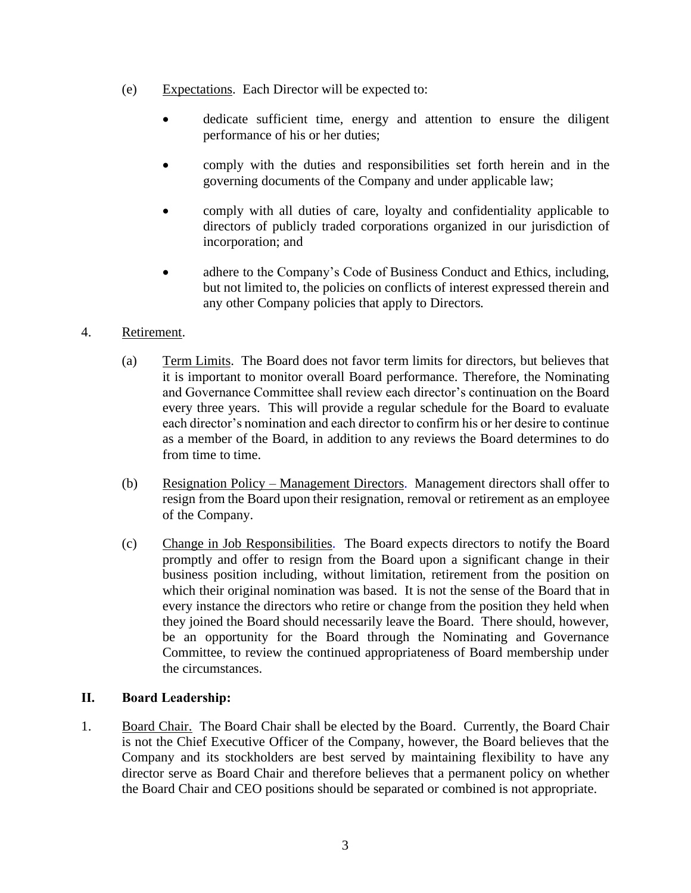- (e) Expectations. Each Director will be expected to:
	- dedicate sufficient time, energy and attention to ensure the diligent performance of his or her duties;
	- comply with the duties and responsibilities set forth herein and in the governing documents of the Company and under applicable law;
	- comply with all duties of care, loyalty and confidentiality applicable to directors of publicly traded corporations organized in our jurisdiction of incorporation; and
	- adhere to the Company's Code of Business Conduct and Ethics, including, but not limited to, the policies on conflicts of interest expressed therein and any other Company policies that apply to Directors.

# 4. Retirement.

- (a) Term Limits. The Board does not favor term limits for directors, but believes that it is important to monitor overall Board performance. Therefore, the Nominating and Governance Committee shall review each director's continuation on the Board every three years. This will provide a regular schedule for the Board to evaluate each director's nomination and each director to confirm his or her desire to continue as a member of the Board, in addition to any reviews the Board determines to do from time to time.
- (b) Resignation Policy Management Directors. Management directors shall offer to resign from the Board upon their resignation, removal or retirement as an employee of the Company.
- (c) Change in Job Responsibilities. The Board expects directors to notify the Board promptly and offer to resign from the Board upon a significant change in their business position including, without limitation, retirement from the position on which their original nomination was based. It is not the sense of the Board that in every instance the directors who retire or change from the position they held when they joined the Board should necessarily leave the Board. There should, however, be an opportunity for the Board through the Nominating and Governance Committee, to review the continued appropriateness of Board membership under the circumstances.

# **II. Board Leadership:**

1. Board Chair. The Board Chair shall be elected by the Board. Currently, the Board Chair is not the Chief Executive Officer of the Company, however, the Board believes that the Company and its stockholders are best served by maintaining flexibility to have any director serve as Board Chair and therefore believes that a permanent policy on whether the Board Chair and CEO positions should be separated or combined is not appropriate.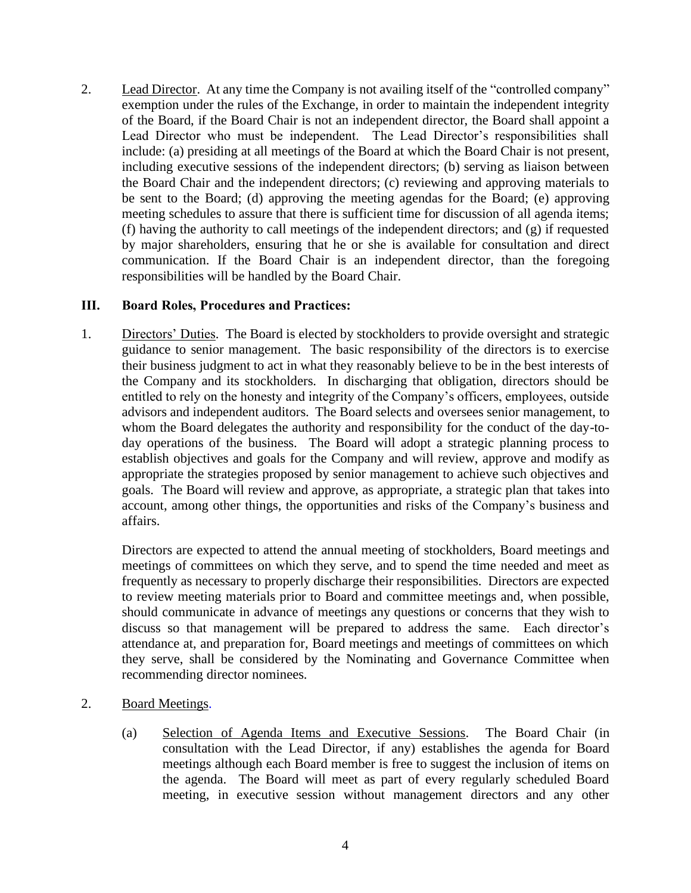2. Lead Director. At any time the Company is not availing itself of the "controlled company" exemption under the rules of the Exchange, in order to maintain the independent integrity of the Board, if the Board Chair is not an independent director, the Board shall appoint a Lead Director who must be independent. The Lead Director's responsibilities shall include: (a) presiding at all meetings of the Board at which the Board Chair is not present, including executive sessions of the independent directors; (b) serving as liaison between the Board Chair and the independent directors; (c) reviewing and approving materials to be sent to the Board; (d) approving the meeting agendas for the Board; (e) approving meeting schedules to assure that there is sufficient time for discussion of all agenda items; (f) having the authority to call meetings of the independent directors; and (g) if requested by major shareholders, ensuring that he or she is available for consultation and direct communication. If the Board Chair is an independent director, than the foregoing responsibilities will be handled by the Board Chair.

### **III. Board Roles, Procedures and Practices:**

1. Directors' Duties. The Board is elected by stockholders to provide oversight and strategic guidance to senior management. The basic responsibility of the directors is to exercise their business judgment to act in what they reasonably believe to be in the best interests of the Company and its stockholders. In discharging that obligation, directors should be entitled to rely on the honesty and integrity of the Company's officers, employees, outside advisors and independent auditors. The Board selects and oversees senior management, to whom the Board delegates the authority and responsibility for the conduct of the day-today operations of the business. The Board will adopt a strategic planning process to establish objectives and goals for the Company and will review, approve and modify as appropriate the strategies proposed by senior management to achieve such objectives and goals. The Board will review and approve, as appropriate, a strategic plan that takes into account, among other things, the opportunities and risks of the Company's business and affairs.

Directors are expected to attend the annual meeting of stockholders, Board meetings and meetings of committees on which they serve, and to spend the time needed and meet as frequently as necessary to properly discharge their responsibilities. Directors are expected to review meeting materials prior to Board and committee meetings and, when possible, should communicate in advance of meetings any questions or concerns that they wish to discuss so that management will be prepared to address the same. Each director's attendance at, and preparation for, Board meetings and meetings of committees on which they serve, shall be considered by the Nominating and Governance Committee when recommending director nominees.

- 2. Board Meetings.
	- (a) Selection of Agenda Items and Executive Sessions. The Board Chair (in consultation with the Lead Director, if any) establishes the agenda for Board meetings although each Board member is free to suggest the inclusion of items on the agenda. The Board will meet as part of every regularly scheduled Board meeting, in executive session without management directors and any other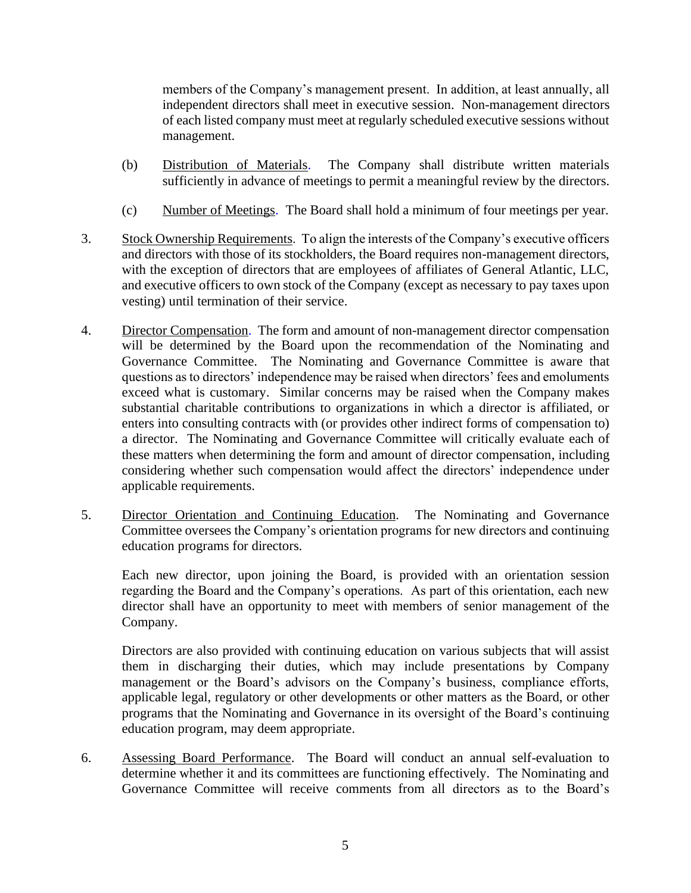members of the Company's management present. In addition, at least annually, all independent directors shall meet in executive session. Non-management directors of each listed company must meet at regularly scheduled executive sessions without management.

- (b) Distribution of Materials. The Company shall distribute written materials sufficiently in advance of meetings to permit a meaningful review by the directors.
- (c) Number of Meetings. The Board shall hold a minimum of four meetings per year.
- 3. Stock Ownership Requirements. To align the interests of the Company's executive officers and directors with those of its stockholders, the Board requires non-management directors, with the exception of directors that are employees of affiliates of General Atlantic, LLC, and executive officers to own stock of the Company (except as necessary to pay taxes upon vesting) until termination of their service.
- 4. Director Compensation. The form and amount of non-management director compensation will be determined by the Board upon the recommendation of the Nominating and Governance Committee. The Nominating and Governance Committee is aware that questions as to directors' independence may be raised when directors' fees and emoluments exceed what is customary. Similar concerns may be raised when the Company makes substantial charitable contributions to organizations in which a director is affiliated, or enters into consulting contracts with (or provides other indirect forms of compensation to) a director. The Nominating and Governance Committee will critically evaluate each of these matters when determining the form and amount of director compensation, including considering whether such compensation would affect the directors' independence under applicable requirements.
- 5. Director Orientation and Continuing Education. The Nominating and Governance Committee oversees the Company's orientation programs for new directors and continuing education programs for directors.

Each new director, upon joining the Board, is provided with an orientation session regarding the Board and the Company's operations. As part of this orientation, each new director shall have an opportunity to meet with members of senior management of the Company.

Directors are also provided with continuing education on various subjects that will assist them in discharging their duties, which may include presentations by Company management or the Board's advisors on the Company's business, compliance efforts, applicable legal, regulatory or other developments or other matters as the Board, or other programs that the Nominating and Governance in its oversight of the Board's continuing education program, may deem appropriate.

6. Assessing Board Performance. The Board will conduct an annual self-evaluation to determine whether it and its committees are functioning effectively. The Nominating and Governance Committee will receive comments from all directors as to the Board's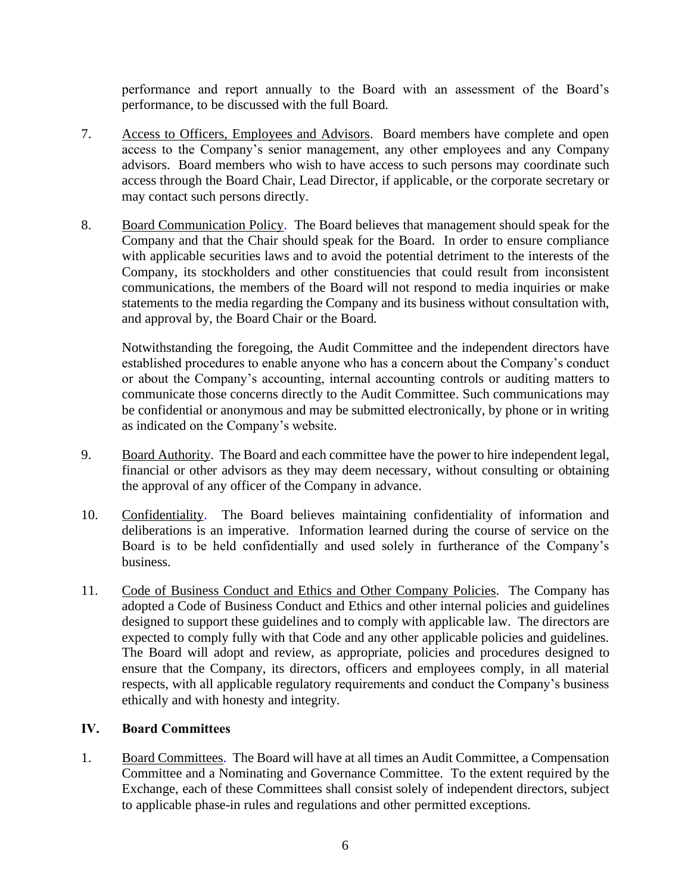performance and report annually to the Board with an assessment of the Board's performance, to be discussed with the full Board.

- 7. Access to Officers, Employees and Advisors. Board members have complete and open access to the Company's senior management, any other employees and any Company advisors. Board members who wish to have access to such persons may coordinate such access through the Board Chair, Lead Director, if applicable, or the corporate secretary or may contact such persons directly.
- 8. Board Communication Policy. The Board believes that management should speak for the Company and that the Chair should speak for the Board. In order to ensure compliance with applicable securities laws and to avoid the potential detriment to the interests of the Company, its stockholders and other constituencies that could result from inconsistent communications, the members of the Board will not respond to media inquiries or make statements to the media regarding the Company and its business without consultation with, and approval by, the Board Chair or the Board.

Notwithstanding the foregoing, the Audit Committee and the independent directors have established procedures to enable anyone who has a concern about the Company's conduct or about the Company's accounting, internal accounting controls or auditing matters to communicate those concerns directly to the Audit Committee. Such communications may be confidential or anonymous and may be submitted electronically, by phone or in writing as indicated on the Company's website.

- 9. Board Authority. The Board and each committee have the power to hire independent legal, financial or other advisors as they may deem necessary, without consulting or obtaining the approval of any officer of the Company in advance.
- 10. Confidentiality. The Board believes maintaining confidentiality of information and deliberations is an imperative. Information learned during the course of service on the Board is to be held confidentially and used solely in furtherance of the Company's business.
- 11. Code of Business Conduct and Ethics and Other Company Policies. The Company has adopted a Code of Business Conduct and Ethics and other internal policies and guidelines designed to support these guidelines and to comply with applicable law. The directors are expected to comply fully with that Code and any other applicable policies and guidelines. The Board will adopt and review, as appropriate, policies and procedures designed to ensure that the Company, its directors, officers and employees comply, in all material respects, with all applicable regulatory requirements and conduct the Company's business ethically and with honesty and integrity.

# **IV. Board Committees**

1. Board Committees. The Board will have at all times an Audit Committee, a Compensation Committee and a Nominating and Governance Committee. To the extent required by the Exchange, each of these Committees shall consist solely of independent directors, subject to applicable phase-in rules and regulations and other permitted exceptions.